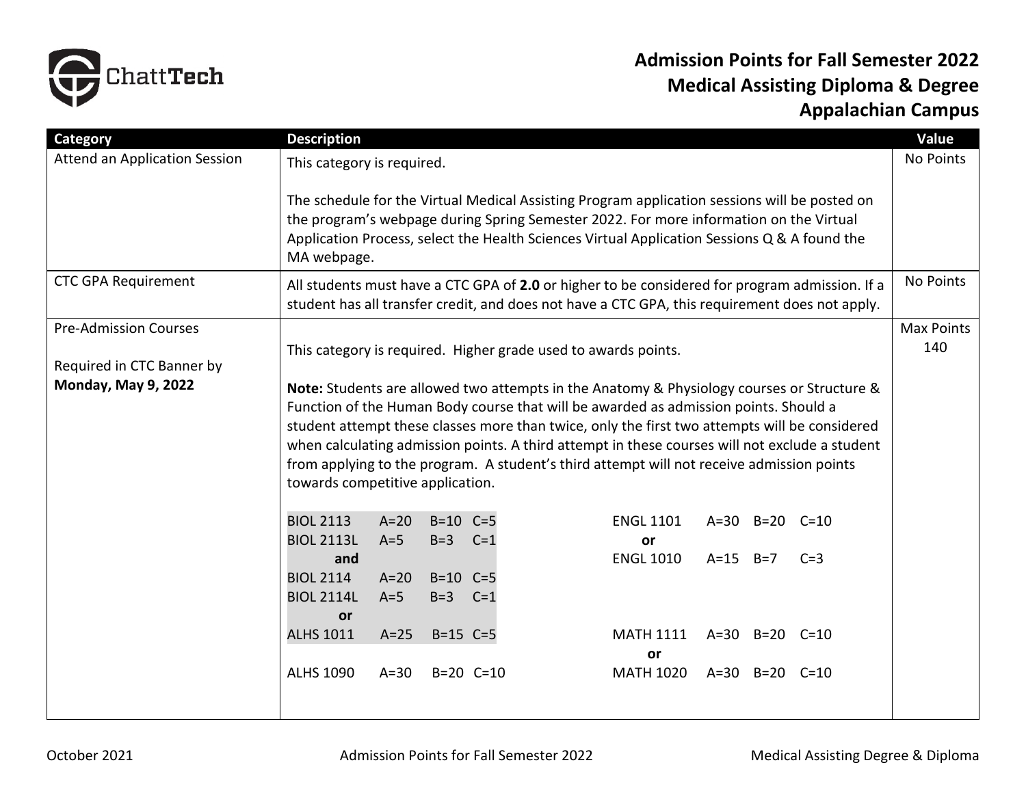

## **Admission Points for Fall Semester 2022 Medical Assisting Diploma & Degree Appalachian Campus**

| Category                             | <b>Description</b>                                                                                                                                                                                                                                                                                                                                                                                                                                                                                                     |                 |                             |               |                                                 |                          |  |
|--------------------------------------|------------------------------------------------------------------------------------------------------------------------------------------------------------------------------------------------------------------------------------------------------------------------------------------------------------------------------------------------------------------------------------------------------------------------------------------------------------------------------------------------------------------------|-----------------|-----------------------------|---------------|-------------------------------------------------|--------------------------|--|
| <b>Attend an Application Session</b> | This category is required.                                                                                                                                                                                                                                                                                                                                                                                                                                                                                             |                 |                             |               |                                                 |                          |  |
|                                      | The schedule for the Virtual Medical Assisting Program application sessions will be posted on<br>the program's webpage during Spring Semester 2022. For more information on the Virtual<br>Application Process, select the Health Sciences Virtual Application Sessions Q & A found the<br>MA webpage.                                                                                                                                                                                                                 |                 |                             |               |                                                 |                          |  |
| <b>CTC GPA Requirement</b>           | All students must have a CTC GPA of 2.0 or higher to be considered for program admission. If a<br>student has all transfer credit, and does not have a CTC GPA, this requirement does not apply.                                                                                                                                                                                                                                                                                                                       |                 |                             |               |                                                 |                          |  |
| <b>Pre-Admission Courses</b>         |                                                                                                                                                                                                                                                                                                                                                                                                                                                                                                                        |                 |                             |               |                                                 | <b>Max Points</b><br>140 |  |
| Required in CTC Banner by            | This category is required. Higher grade used to awards points.                                                                                                                                                                                                                                                                                                                                                                                                                                                         |                 |                             |               |                                                 |                          |  |
| <b>Monday, May 9, 2022</b>           | Note: Students are allowed two attempts in the Anatomy & Physiology courses or Structure &<br>Function of the Human Body course that will be awarded as admission points. Should a<br>student attempt these classes more than twice, only the first two attempts will be considered<br>when calculating admission points. A third attempt in these courses will not exclude a student<br>from applying to the program. A student's third attempt will not receive admission points<br>towards competitive application. |                 |                             |               |                                                 |                          |  |
|                                      | <b>BIOL 2113</b>                                                                                                                                                                                                                                                                                                                                                                                                                                                                                                       | $A=20$          | $B=10$ $C=5$                |               | <b>ENGL 1101</b><br>A=30 B=20 C=10              |                          |  |
|                                      | <b>BIOL 2113L</b><br>and                                                                                                                                                                                                                                                                                                                                                                                                                                                                                               | $A=5$           | $B=3$                       | $C=1$         | or<br><b>ENGL 1010</b><br>$A=15$ $B=7$<br>$C=3$ |                          |  |
|                                      | <b>BIOL 2114</b><br><b>BIOL 2114L</b><br><b>or</b>                                                                                                                                                                                                                                                                                                                                                                                                                                                                     | $A=20$<br>$A=5$ | $B=10$ $C=5$<br>$B=3$ $C=1$ |               |                                                 |                          |  |
|                                      | <b>ALHS 1011</b>                                                                                                                                                                                                                                                                                                                                                                                                                                                                                                       | $A=25$          | $B=15$ $C=5$                |               | <b>MATH 1111</b><br>A=30 B=20 C=10              |                          |  |
|                                      | <b>ALHS 1090</b>                                                                                                                                                                                                                                                                                                                                                                                                                                                                                                       |                 |                             |               | or                                              |                          |  |
|                                      |                                                                                                                                                                                                                                                                                                                                                                                                                                                                                                                        | $A=30$          |                             | $B=20$ $C=10$ | <b>MATH 1020</b><br>A=30 B=20 C=10              |                          |  |
|                                      |                                                                                                                                                                                                                                                                                                                                                                                                                                                                                                                        |                 |                             |               |                                                 |                          |  |